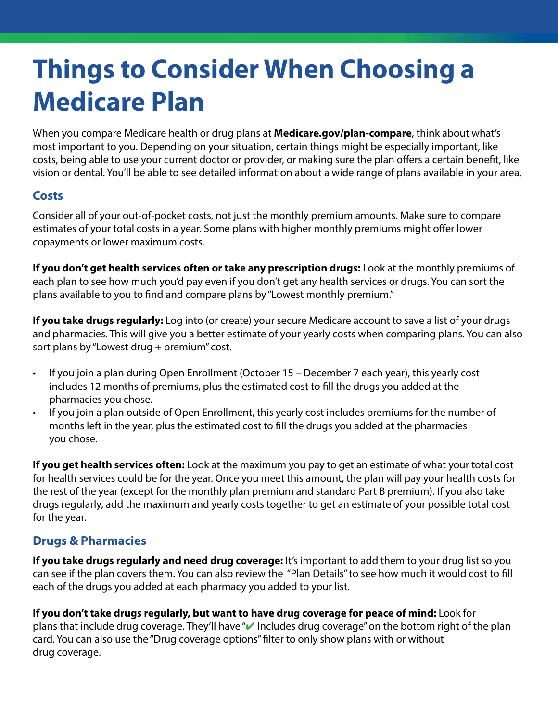# **Things to Consider When Choosing a Medicare Plan**

When you compare Medicare health or drug plans at **[Medicare.gov/plan-compare](http://medicare.gov/plan-compare)**, think about what's most important to you. Depending on your situation, certain things might be especially important, like costs, being able to use your current doctor or provider, or making sure the plan offers a certain benefit, like vision or dental. You'll be able to see detailed information about a wide range of plans available in your area.

#### **Costs**

Consider all of your out-of-pocket costs, not just the monthly premium amounts. Make sure to compare estimates of your total costs in a year. Some plans with higher monthly premiums might offer lower copayments or lower maximum costs.

**If you don't get health services often or take any prescription drugs:** Look at the monthly premiums of each plan to see how much you'd pay even if you don't get any health services or drugs. You can sort the plans available to you to fnd and compare plans by "Lowest monthly premium."

**If you take drugs regularly:** Log into (or create) your secure Medicare account to save a list of your drugs and pharmacies. This will give you a better estimate of your yearly costs when comparing plans. You can also sort plans by "Lowest drug + premium" cost.

- If you join a plan during Open Enrollment (October 15 December 7 each year), this yearly cost includes 12 months of premiums, plus the estimated cost to fll the drugs you added at the pharmacies you chose.
- If you join a plan outside of Open Enrollment, this yearly cost includes premiums for the number of months left in the year, plus the estimated cost to fll the drugs you added at the pharmacies you chose.

**If you get health services often:** Look at the maximum you pay to get an estimate of what your total cost for health services could be for the year. Once you meet this amount, the plan will pay your health costs for the rest of the year (except for the monthly plan premium and standard Part B premium). If you also take drugs regularly, add the maximum and yearly costs together to get an estimate of your possible total cost for the year.

## **Drugs & Pharmacies**

**If you take drugs regularly and need drug coverage:** It's important to add them to your drug list so you can see if the plan covers them. You can also review the "Plan Details" to see how much it would cost to fll each of the drugs you added at each pharmacy you added to your list.

**If you don't take drugs regularly, but want to have drug coverage for peace of mind:** Look for plans that include drug coverage. They'll have "v Includes drug coverage" on the bottom right of the plan card. You can also use the "Drug coverage options" flter to only show plans with or without drug coverage.